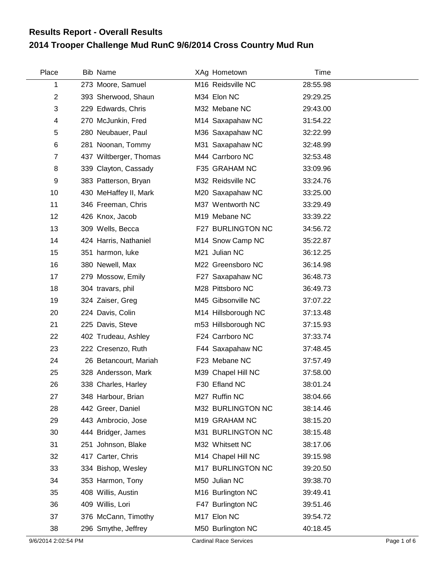## **2014 Trooper Challenge Mud RunC 9/6/2014 Cross Country Mud Run Results Report - Overall Results**

| Place          | Bib Name               | XAg Hometown        | Time     |
|----------------|------------------------|---------------------|----------|
| 1              | 273 Moore, Samuel      | M16 Reidsville NC   | 28:55.98 |
| 2              | 393 Sherwood, Shaun    | M34 Elon NC         | 29:29.25 |
| 3              | 229 Edwards, Chris     | M32 Mebane NC       | 29:43.00 |
| 4              | 270 McJunkin, Fred     | M14 Saxapahaw NC    | 31:54.22 |
| 5              | 280 Neubauer, Paul     | M36 Saxapahaw NC    | 32:22.99 |
| 6              | 281 Noonan, Tommy      | M31 Saxapahaw NC    | 32:48.99 |
| $\overline{7}$ | 437 Wiltberger, Thomas | M44 Carrboro NC     | 32:53.48 |
| 8              | 339 Clayton, Cassady   | F35 GRAHAM NC       | 33:09.96 |
| 9              | 383 Patterson, Bryan   | M32 Reidsville NC   | 33:24.76 |
| 10             | 430 MeHaffey II, Mark  | M20 Saxapahaw NC    | 33:25.00 |
| 11             | 346 Freeman, Chris     | M37 Wentworth NC    | 33:29.49 |
| 12             | 426 Knox, Jacob        | M19 Mebane NC       | 33:39.22 |
| 13             | 309 Wells, Becca       | F27 BURLINGTON NC   | 34:56.72 |
| 14             | 424 Harris, Nathaniel  | M14 Snow Camp NC    | 35:22.87 |
| 15             | 351 harmon, luke       | M21 Julian NC       | 36:12.25 |
| 16             | 380 Newell, Max        | M22 Greensboro NC   | 36:14.98 |
| 17             | 279 Mossow, Emily      | F27 Saxapahaw NC    | 36:48.73 |
| 18             | 304 travars, phil      | M28 Pittsboro NC    | 36:49.73 |
| 19             | 324 Zaiser, Greg       | M45 Gibsonville NC  | 37:07.22 |
| 20             | 224 Davis, Colin       | M14 Hillsborough NC | 37:13.48 |
| 21             | 225 Davis, Steve       | m53 Hillsborough NC | 37:15.93 |
| 22             | 402 Trudeau, Ashley    | F24 Carrboro NC     | 37:33.74 |
| 23             | 222 Cresenzo, Ruth     | F44 Saxapahaw NC    | 37:48.45 |
| 24             | 26 Betancourt, Mariah  | F23 Mebane NC       | 37:57.49 |
| 25             | 328 Andersson, Mark    | M39 Chapel Hill NC  | 37:58.00 |
| 26             | 338 Charles, Harley    | F30 Efland NC       | 38:01.24 |
| 27             | 348 Harbour, Brian     | M27 Ruffin NC       | 38:04.66 |
| 28             | 442 Greer, Daniel      | M32 BURLINGTON NC   | 38:14.46 |
| 29             | 443 Ambrocio, Jose     | M19 GRAHAM NC       | 38:15.20 |
| 30             | 444 Bridger, James     | M31 BURLINGTON NC   | 38:15.48 |
| 31             | 251 Johnson, Blake     | M32 Whitsett NC     | 38:17.06 |
| 32             | 417 Carter, Chris      | M14 Chapel Hill NC  | 39:15.98 |
| 33             | 334 Bishop, Wesley     | M17 BURLINGTON NC   | 39:20.50 |
| 34             | 353 Harmon, Tony       | M50 Julian NC       | 39:38.70 |
| 35             | 408 Willis, Austin     | M16 Burlington NC   | 39:49.41 |
| 36             | 409 Willis, Lori       | F47 Burlington NC   | 39:51.46 |
| 37             | 376 McCann, Timothy    | M17 Elon NC         | 39:54.72 |
| 38             | 296 Smythe, Jeffrey    | M50 Burlington NC   | 40:18.45 |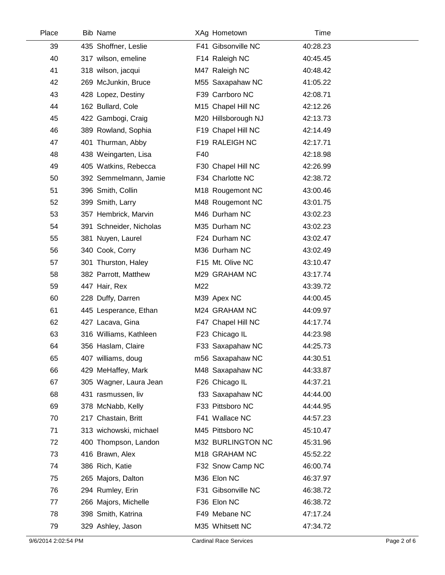| Place | <b>Bib Name</b>         |     | XAg Hometown        | Time     |  |
|-------|-------------------------|-----|---------------------|----------|--|
| 39    | 435 Shoffner, Leslie    |     | F41 Gibsonville NC  | 40:28.23 |  |
| 40    | 317 wilson, emeline     |     | F14 Raleigh NC      | 40:45.45 |  |
| 41    | 318 wilson, jacqui      |     | M47 Raleigh NC      | 40:48.42 |  |
| 42    | 269 McJunkin, Bruce     |     | M55 Saxapahaw NC    | 41:05.22 |  |
| 43    | 428 Lopez, Destiny      |     | F39 Carrboro NC     | 42:08.71 |  |
| 44    | 162 Bullard, Cole       |     | M15 Chapel Hill NC  | 42:12.26 |  |
| 45    | 422 Gambogi, Craig      |     | M20 Hillsborough NJ | 42:13.73 |  |
| 46    | 389 Rowland, Sophia     |     | F19 Chapel Hill NC  | 42:14.49 |  |
| 47    | 401 Thurman, Abby       |     | F19 RALEIGH NC      | 42:17.71 |  |
| 48    | 438 Weingarten, Lisa    | F40 |                     | 42:18.98 |  |
| 49    | 405 Watkins, Rebecca    |     | F30 Chapel Hill NC  | 42:26.99 |  |
| 50    | 392 Semmelmann, Jamie   |     | F34 Charlotte NC    | 42:38.72 |  |
| 51    | 396 Smith, Collin       |     | M18 Rougemont NC    | 43:00.46 |  |
| 52    | 399 Smith, Larry        |     | M48 Rougemont NC    | 43:01.75 |  |
| 53    | 357 Hembrick, Marvin    |     | M46 Durham NC       | 43:02.23 |  |
| 54    | 391 Schneider, Nicholas |     | M35 Durham NC       | 43:02.23 |  |
| 55    | 381 Nuyen, Laurel       |     | F24 Durham NC       | 43:02.47 |  |
| 56    | 340 Cook, Corry         |     | M36 Durham NC       | 43:02.49 |  |
| 57    | 301 Thurston, Haley     |     | F15 Mt. Olive NC    | 43:10.47 |  |
| 58    | 382 Parrott, Matthew    |     | M29 GRAHAM NC       | 43:17.74 |  |
| 59    | 447 Hair, Rex           | M22 |                     | 43:39.72 |  |
| 60    | 228 Duffy, Darren       |     | M39 Apex NC         | 44:00.45 |  |
| 61    | 445 Lesperance, Ethan   |     | M24 GRAHAM NC       | 44:09.97 |  |
| 62    | 427 Lacava, Gina        |     | F47 Chapel Hill NC  | 44:17.74 |  |
| 63    | 316 Williams, Kathleen  |     | F23 Chicago IL      | 44:23.98 |  |
| 64    | 356 Haslam, Claire      |     | F33 Saxapahaw NC    | 44:25.73 |  |
| 65    | 407 williams, doug      |     | m56 Saxapahaw NC    | 44:30.51 |  |
| 66    | 429 MeHaffey, Mark      |     | M48 Saxapahaw NC    | 44:33.87 |  |
| 67    | 305 Wagner, Laura Jean  |     | F26 Chicago IL      | 44:37.21 |  |
| 68    | 431 rasmussen, liv      |     | f33 Saxapahaw NC    | 44:44.00 |  |
| 69    | 378 McNabb, Kelly       |     | F33 Pittsboro NC    | 44:44.95 |  |
| 70    | 217 Chastain, Britt     |     | F41 Wallace NC      | 44:57.23 |  |
| 71    | 313 wichowski, michael  |     | M45 Pittsboro NC    | 45:10.47 |  |
| 72    | 400 Thompson, Landon    |     | M32 BURLINGTON NC   | 45:31.96 |  |
| 73    | 416 Brawn, Alex         |     | M18 GRAHAM NC       | 45:52.22 |  |
| 74    | 386 Rich, Katie         |     | F32 Snow Camp NC    | 46:00.74 |  |
| 75    | 265 Majors, Dalton      |     | M36 Elon NC         | 46:37.97 |  |
| 76    | 294 Rumley, Erin        |     | F31 Gibsonville NC  | 46:38.72 |  |
| 77    | 266 Majors, Michelle    |     | F36 Elon NC         | 46:38.72 |  |
| 78    | 398 Smith, Katrina      |     | F49 Mebane NC       | 47:17.24 |  |
| 79    | 329 Ashley, Jason       |     | M35 Whitsett NC     | 47:34.72 |  |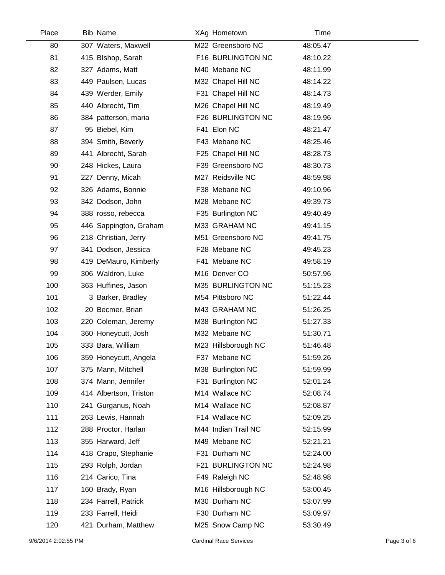| Place | <b>Bib Name</b>        | XAg Hometown        | Time     |  |
|-------|------------------------|---------------------|----------|--|
| 80    | 307 Waters, Maxwell    | M22 Greensboro NC   | 48:05.47 |  |
| 81    | 415 Blshop, Sarah      | F16 BURLINGTON NC   | 48:10.22 |  |
| 82    | 327 Adams, Matt        | M40 Mebane NC       | 48:11.99 |  |
| 83    | 449 Paulsen, Lucas     | M32 Chapel Hill NC  | 48:14.22 |  |
| 84    | 439 Werder, Emily      | F31 Chapel Hill NC  | 48:14.73 |  |
| 85    | 440 Albrecht, Tim      | M26 Chapel Hill NC  | 48:19.49 |  |
| 86    | 384 patterson, maria   | F26 BURLINGTON NC   | 48:19.96 |  |
| 87    | 95 Biebel, Kim         | F41 Elon NC         | 48:21.47 |  |
| 88    | 394 Smith, Beverly     | F43 Mebane NC       | 48:25.46 |  |
| 89    | 441 Albrecht, Sarah    | F25 Chapel Hill NC  | 48:28.73 |  |
| 90    | 248 Hickes, Laura      | F39 Greensboro NC   | 48:30.73 |  |
| 91    | 227 Denny, Micah       | M27 Reidsville NC   | 48:59.98 |  |
| 92    | 326 Adams, Bonnie      | F38 Mebane NC       | 49:10.96 |  |
| 93    | 342 Dodson, John       | M28 Mebane NC       | 49:39.73 |  |
| 94    | 388 rosso, rebecca     | F35 Burlington NC   | 49:40.49 |  |
| 95    | 446 Sappington, Graham | M33 GRAHAM NC       | 49:41.15 |  |
| 96    | 218 Christian, Jerry   | M51 Greensboro NC   | 49:41.75 |  |
| 97    | 341 Dodson, Jessica    | F28 Mebane NC       | 49:45.23 |  |
| 98    | 419 DeMauro, Kimberly  | F41 Mebane NC       | 49:58.19 |  |
| 99    | 306 Waldron, Luke      | M16 Denver CO       | 50:57.96 |  |
| 100   | 363 Huffines, Jason    | M35 BURLINGTON NC   | 51:15.23 |  |
| 101   | 3 Barker, Bradley      | M54 Pittsboro NC    | 51:22.44 |  |
| 102   | 20 Becmer, Brian       | M43 GRAHAM NC       | 51:26.25 |  |
| 103   | 220 Coleman, Jeremy    | M38 Burlington NC   | 51:27.33 |  |
| 104   | 360 Honeycutt, Josh    | M32 Mebane NC       | 51:30.71 |  |
| 105   | 333 Bara, William      | M23 Hillsborough NC | 51:46.48 |  |
| 106   | 359 Honeycutt, Angela  | F37 Mebane NC       | 51:59.26 |  |
| 107   | 375 Mann, Mitchell     | M38 Burlington NC   | 51:59.99 |  |
| 108   | 374 Mann, Jennifer     | F31 Burlington NC   | 52:01.24 |  |
| 109   | 414 Albertson, Triston | M14 Wallace NC      | 52:08.74 |  |
| 110   | 241 Gurganus, Noah     | M14 Wallace NC      | 52:08.87 |  |
| 111   | 263 Lewis, Hannah      | F14 Wallace NC      | 52:09.25 |  |
| 112   | 288 Proctor, Harlan    | M44 Indian Trail NC | 52:15.99 |  |
| 113   | 355 Harward, Jeff      | M49 Mebane NC       | 52:21.21 |  |
| 114   | 418 Crapo, Stephanie   | F31 Durham NC       | 52:24.00 |  |
| 115   | 293 Rolph, Jordan      | F21 BURLINGTON NC   | 52:24.98 |  |
| 116   | 214 Carico, Tina       | F49 Raleigh NC      | 52:48.98 |  |
| 117   | 160 Brady, Ryan        | M16 Hillsborough NC | 53:00.45 |  |
| 118   | 234 Farrell, Patrick   | M30 Durham NC       | 53:07.99 |  |
| 119   | 233 Farrell, Heidi     | F30 Durham NC       | 53:09.97 |  |
| 120   | 421 Durham, Matthew    | M25 Snow Camp NC    | 53:30.49 |  |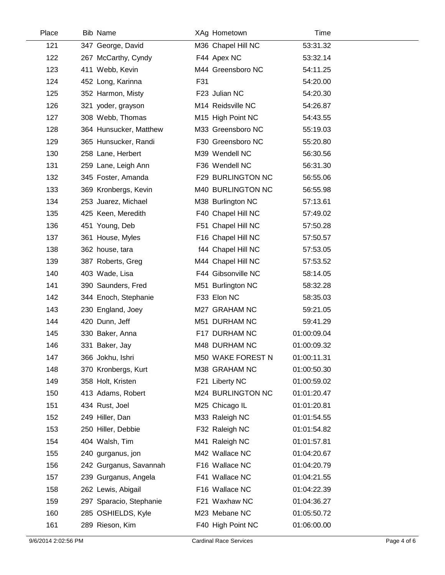| Place | <b>Bib Name</b>         |     | XAg Hometown       | Time        |  |
|-------|-------------------------|-----|--------------------|-------------|--|
| 121   | 347 George, David       |     | M36 Chapel Hill NC | 53:31.32    |  |
| 122   | 267 McCarthy, Cyndy     |     | F44 Apex NC        | 53:32.14    |  |
| 123   | 411 Webb, Kevin         |     | M44 Greensboro NC  | 54:11.25    |  |
| 124   | 452 Long, Karinna       | F31 |                    | 54:20.00    |  |
| 125   | 352 Harmon, Misty       |     | F23 Julian NC      | 54:20.30    |  |
| 126   | 321 yoder, grayson      |     | M14 Reidsville NC  | 54:26.87    |  |
| 127   | 308 Webb, Thomas        |     | M15 High Point NC  | 54:43.55    |  |
| 128   | 364 Hunsucker, Matthew  |     | M33 Greensboro NC  | 55:19.03    |  |
| 129   | 365 Hunsucker, Randi    |     | F30 Greensboro NC  | 55:20.80    |  |
| 130   | 258 Lane, Herbert       |     | M39 Wendell NC     | 56:30.56    |  |
| 131   | 259 Lane, Leigh Ann     |     | F36 Wendell NC     | 56:31.30    |  |
| 132   | 345 Foster, Amanda      |     | F29 BURLINGTON NC  | 56:55.06    |  |
| 133   | 369 Kronbergs, Kevin    |     | M40 BURLINGTON NC  | 56:55.98    |  |
| 134   | 253 Juarez, Michael     |     | M38 Burlington NC  | 57:13.61    |  |
| 135   | 425 Keen, Meredith      |     | F40 Chapel Hill NC | 57:49.02    |  |
| 136   | 451 Young, Deb          |     | F51 Chapel Hill NC | 57:50.28    |  |
| 137   | 361 House, Myles        |     | F16 Chapel Hill NC | 57:50.57    |  |
| 138   | 362 house, tara         |     | f44 Chapel Hill NC | 57:53.05    |  |
| 139   | 387 Roberts, Greg       |     | M44 Chapel Hill NC | 57:53.52    |  |
| 140   | 403 Wade, Lisa          |     | F44 Gibsonville NC | 58:14.05    |  |
| 141   | 390 Saunders, Fred      |     | M51 Burlington NC  | 58:32.28    |  |
| 142   | 344 Enoch, Stephanie    |     | F33 Elon NC        | 58:35.03    |  |
| 143   | 230 England, Joey       |     | M27 GRAHAM NC      | 59:21.05    |  |
| 144   | 420 Dunn, Jeff          |     | M51 DURHAM NC      | 59:41.29    |  |
| 145   | 330 Baker, Anna         |     | F17 DURHAM NC      | 01:00:09.04 |  |
| 146   | 331 Baker, Jay          |     | M48 DURHAM NC      | 01:00:09.32 |  |
| 147   | 366 Jokhu, Ishri        |     | M50 WAKE FOREST N  | 01:00:11.31 |  |
| 148   | 370 Kronbergs, Kurt     |     | M38 GRAHAM NC      | 01:00:50.30 |  |
| 149   | 358 Holt, Kristen       |     | F21 Liberty NC     | 01:00:59.02 |  |
| 150   | 413 Adams, Robert       |     | M24 BURLINGTON NC  | 01:01:20.47 |  |
| 151   | 434 Rust, Joel          |     | M25 Chicago IL     | 01:01:20.81 |  |
| 152   | 249 Hiller, Dan         |     | M33 Raleigh NC     | 01:01:54.55 |  |
| 153   | 250 Hiller, Debbie      |     | F32 Raleigh NC     | 01:01:54.82 |  |
| 154   | 404 Walsh, Tim          |     | M41 Raleigh NC     | 01:01:57.81 |  |
| 155   | 240 gurganus, jon       |     | M42 Wallace NC     | 01:04:20.67 |  |
| 156   | 242 Gurganus, Savannah  |     | F16 Wallace NC     | 01:04:20.79 |  |
| 157   | 239 Gurganus, Angela    |     | F41 Wallace NC     | 01:04:21.55 |  |
| 158   | 262 Lewis, Abigail      |     | F16 Wallace NC     | 01:04:22.39 |  |
| 159   | 297 Sparacio, Stephanie |     | F21 Waxhaw NC      | 01:04:36.27 |  |
| 160   | 285 OSHIELDS, Kyle      |     | M23 Mebane NC      | 01:05:50.72 |  |
| 161   | 289 Rieson, Kim         |     | F40 High Point NC  | 01:06:00.00 |  |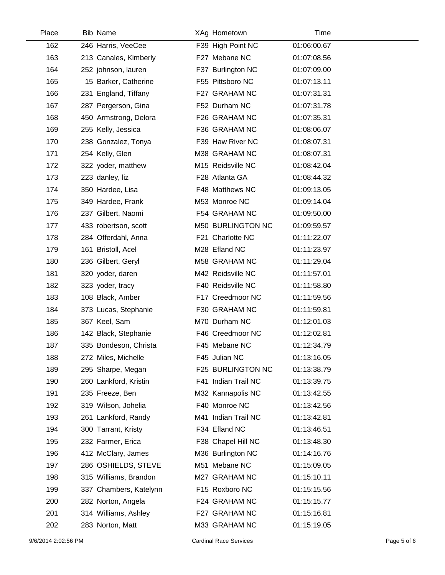| Place | <b>Bib Name</b>        | XAg Hometown        | Time        |  |
|-------|------------------------|---------------------|-------------|--|
| 162   | 246 Harris, VeeCee     | F39 High Point NC   | 01:06:00.67 |  |
| 163   | 213 Canales, Kimberly  | F27 Mebane NC       | 01:07:08.56 |  |
| 164   | 252 johnson, lauren    | F37 Burlington NC   | 01:07:09.00 |  |
| 165   | 15 Barker, Catherine   | F55 Pittsboro NC    | 01:07:13.11 |  |
| 166   | 231 England, Tiffany   | F27 GRAHAM NC       | 01:07:31.31 |  |
| 167   | 287 Pergerson, Gina    | F52 Durham NC       | 01:07:31.78 |  |
| 168   | 450 Armstrong, Delora  | F26 GRAHAM NC       | 01:07:35.31 |  |
| 169   | 255 Kelly, Jessica     | F36 GRAHAM NC       | 01:08:06.07 |  |
| 170   | 238 Gonzalez, Tonya    | F39 Haw River NC    | 01:08:07.31 |  |
| 171   | 254 Kelly, Glen        | M38 GRAHAM NC       | 01:08:07.31 |  |
| 172   | 322 yoder, matthew     | M15 Reidsville NC   | 01:08:42.04 |  |
| 173   | 223 danley, liz        | F28 Atlanta GA      | 01:08:44.32 |  |
| 174   | 350 Hardee, Lisa       | F48 Matthews NC     | 01:09:13.05 |  |
| 175   | 349 Hardee, Frank      | M53 Monroe NC       | 01:09:14.04 |  |
| 176   | 237 Gilbert, Naomi     | F54 GRAHAM NC       | 01:09:50.00 |  |
| 177   | 433 robertson, scott   | M50 BURLINGTON NC   | 01:09:59.57 |  |
| 178   | 284 Offerdahl, Anna    | F21 Charlotte NC    | 01:11:22.07 |  |
| 179   | 161 Bristoll, Acel     | M28 Efland NC       | 01:11:23.97 |  |
| 180   | 236 Gilbert, Geryl     | M58 GRAHAM NC       | 01:11:29.04 |  |
| 181   | 320 yoder, daren       | M42 Reidsville NC   | 01:11:57.01 |  |
| 182   | 323 yoder, tracy       | F40 Reidsville NC   | 01:11:58.80 |  |
| 183   | 108 Black, Amber       | F17 Creedmoor NC    | 01:11:59.56 |  |
| 184   | 373 Lucas, Stephanie   | F30 GRAHAM NC       | 01:11:59.81 |  |
| 185   | 367 Keel, Sam          | M70 Durham NC       | 01:12:01.03 |  |
| 186   | 142 Black, Stephanie   | F46 Creedmoor NC    | 01:12:02.81 |  |
| 187   | 335 Bondeson, Christa  | F45 Mebane NC       | 01:12:34.79 |  |
| 188   | 272 Miles, Michelle    | F45 Julian NC       | 01:13:16.05 |  |
| 189   | 295 Sharpe, Megan      | F25 BURLINGTON NC   | 01:13:38.79 |  |
| 190   | 260 Lankford, Kristin  | F41 Indian Trail NC | 01:13:39.75 |  |
| 191   | 235 Freeze, Ben        | M32 Kannapolis NC   | 01:13:42.55 |  |
| 192   | 319 Wilson, Johelia    | F40 Monroe NC       | 01:13:42.56 |  |
| 193   | 261 Lankford, Randy    | M41 Indian Trail NC | 01:13:42.81 |  |
| 194   | 300 Tarrant, Kristy    | F34 Efland NC       | 01:13:46.51 |  |
| 195   | 232 Farmer, Erica      | F38 Chapel Hill NC  | 01:13:48.30 |  |
| 196   | 412 McClary, James     | M36 Burlington NC   | 01:14:16.76 |  |
| 197   | 286 OSHIELDS, STEVE    | M51 Mebane NC       | 01:15:09.05 |  |
| 198   | 315 Williams, Brandon  | M27 GRAHAM NC       | 01:15:10.11 |  |
| 199   | 337 Chambers, Katelynn | F15 Roxboro NC      | 01:15:15.56 |  |
| 200   | 282 Norton, Angela     | F24 GRAHAM NC       | 01:15:15.77 |  |
| 201   | 314 Williams, Ashley   | F27 GRAHAM NC       | 01:15:16.81 |  |
| 202   | 283 Norton, Matt       | M33 GRAHAM NC       | 01:15:19.05 |  |